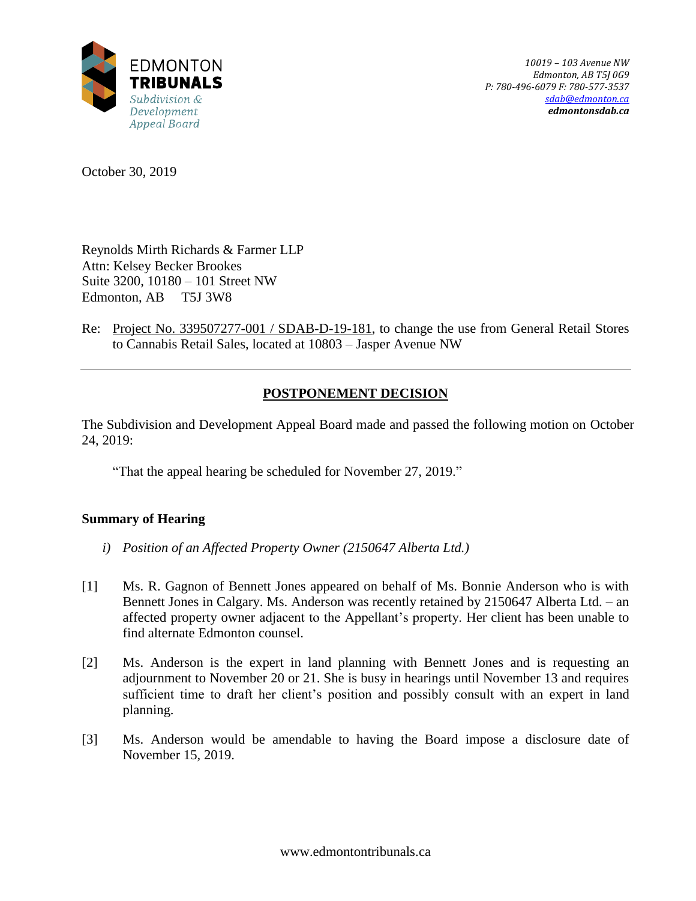

October 30, 2019

Reynolds Mirth Richards & Farmer LLP Attn: Kelsey Becker Brookes Suite 3200, 10180 – 101 Street NW Edmonton, AB T5J 3W8

Re: Project No. 339507277-001 / SDAB-D-19-181, to change the use from General Retail Stores to Cannabis Retail Sales, located at 10803 – Jasper Avenue NW

# **POSTPONEMENT DECISION**

The Subdivision and Development Appeal Board made and passed the following motion on October 24, 2019:

"That the appeal hearing be scheduled for November 27, 2019."

# **Summary of Hearing**

- *i) Position of an Affected Property Owner (2150647 Alberta Ltd.)*
- [1] Ms. R. Gagnon of Bennett Jones appeared on behalf of Ms. Bonnie Anderson who is with Bennett Jones in Calgary. Ms. Anderson was recently retained by 2150647 Alberta Ltd. – an affected property owner adjacent to the Appellant's property. Her client has been unable to find alternate Edmonton counsel.
- [2] Ms. Anderson is the expert in land planning with Bennett Jones and is requesting an adjournment to November 20 or 21. She is busy in hearings until November 13 and requires sufficient time to draft her client's position and possibly consult with an expert in land planning.
- [3] Ms. Anderson would be amendable to having the Board impose a disclosure date of November 15, 2019.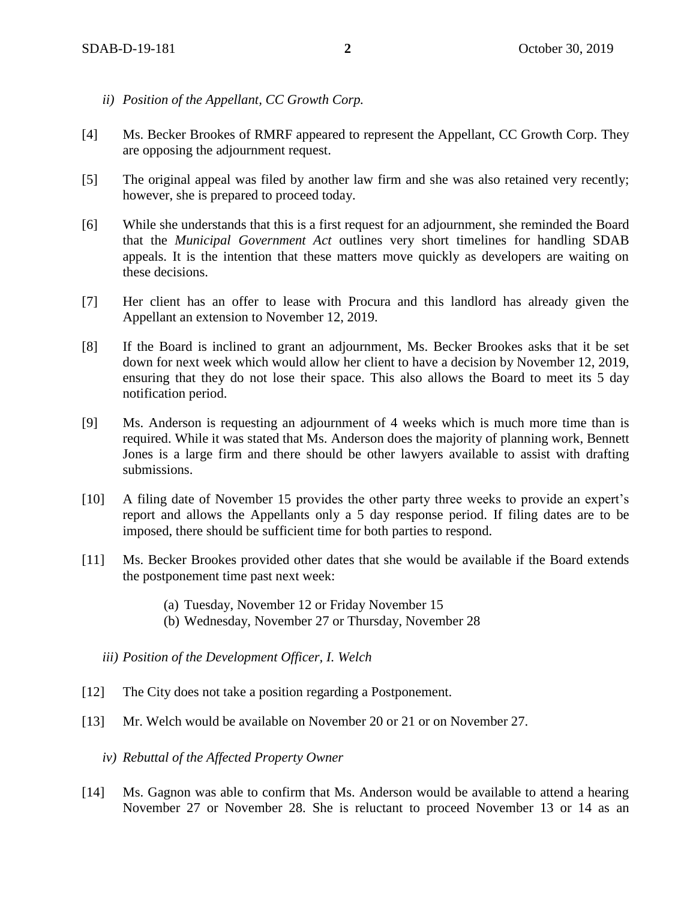- *ii) Position of the Appellant, CC Growth Corp.*
- [4] Ms. Becker Brookes of RMRF appeared to represent the Appellant, CC Growth Corp. They are opposing the adjournment request.
- [5] The original appeal was filed by another law firm and she was also retained very recently; however, she is prepared to proceed today.
- [6] While she understands that this is a first request for an adjournment, she reminded the Board that the *Municipal Government Act* outlines very short timelines for handling SDAB appeals. It is the intention that these matters move quickly as developers are waiting on these decisions.
- [7] Her client has an offer to lease with Procura and this landlord has already given the Appellant an extension to November 12, 2019.
- [8] If the Board is inclined to grant an adjournment, Ms. Becker Brookes asks that it be set down for next week which would allow her client to have a decision by November 12, 2019, ensuring that they do not lose their space. This also allows the Board to meet its 5 day notification period.
- [9] Ms. Anderson is requesting an adjournment of 4 weeks which is much more time than is required. While it was stated that Ms. Anderson does the majority of planning work, Bennett Jones is a large firm and there should be other lawyers available to assist with drafting submissions.
- [10] A filing date of November 15 provides the other party three weeks to provide an expert's report and allows the Appellants only a 5 day response period. If filing dates are to be imposed, there should be sufficient time for both parties to respond.
- [11] Ms. Becker Brookes provided other dates that she would be available if the Board extends the postponement time past next week:
	- (a) Tuesday, November 12 or Friday November 15
	- (b) Wednesday, November 27 or Thursday, November 28
	- *iii) Position of the Development Officer, I. Welch*
- [12] The City does not take a position regarding a Postponement.
- [13] Mr. Welch would be available on November 20 or 21 or on November 27.
	- *iv) Rebuttal of the Affected Property Owner*
- [14] Ms. Gagnon was able to confirm that Ms. Anderson would be available to attend a hearing November 27 or November 28. She is reluctant to proceed November 13 or 14 as an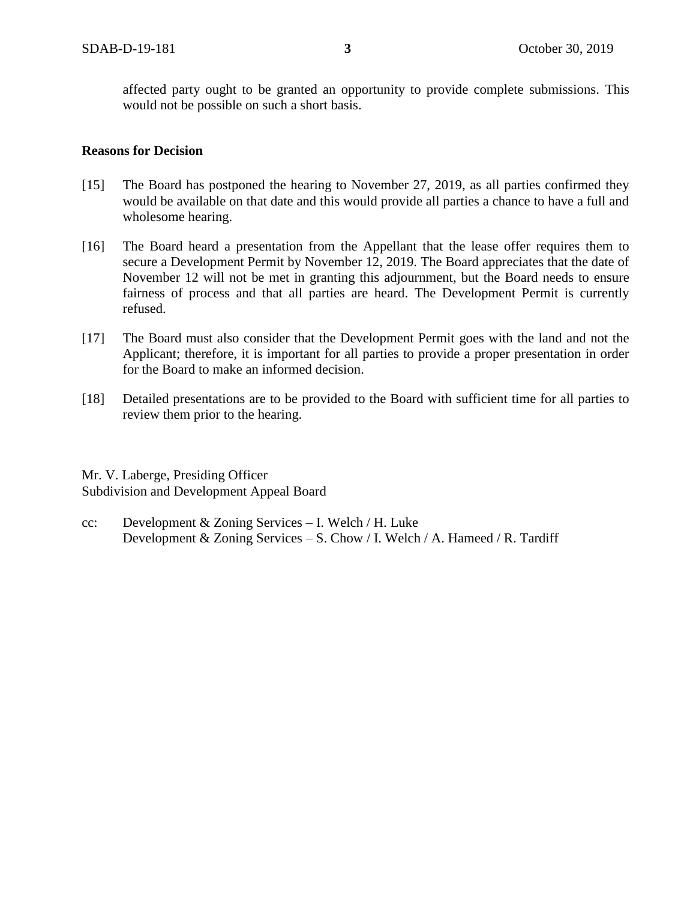affected party ought to be granted an opportunity to provide complete submissions. This would not be possible on such a short basis.

# **Reasons for Decision**

- [15] The Board has postponed the hearing to November 27, 2019, as all parties confirmed they would be available on that date and this would provide all parties a chance to have a full and wholesome hearing.
- [16] The Board heard a presentation from the Appellant that the lease offer requires them to secure a Development Permit by November 12, 2019. The Board appreciates that the date of November 12 will not be met in granting this adjournment, but the Board needs to ensure fairness of process and that all parties are heard. The Development Permit is currently refused.
- [17] The Board must also consider that the Development Permit goes with the land and not the Applicant; therefore, it is important for all parties to provide a proper presentation in order for the Board to make an informed decision.
- [18] Detailed presentations are to be provided to the Board with sufficient time for all parties to review them prior to the hearing.

Mr. V. Laberge, Presiding Officer Subdivision and Development Appeal Board

cc: Development  $& Zoning$  Services – I. Welch / H. Luke Development & Zoning Services – S. Chow / I. Welch / A. Hameed / R. Tardiff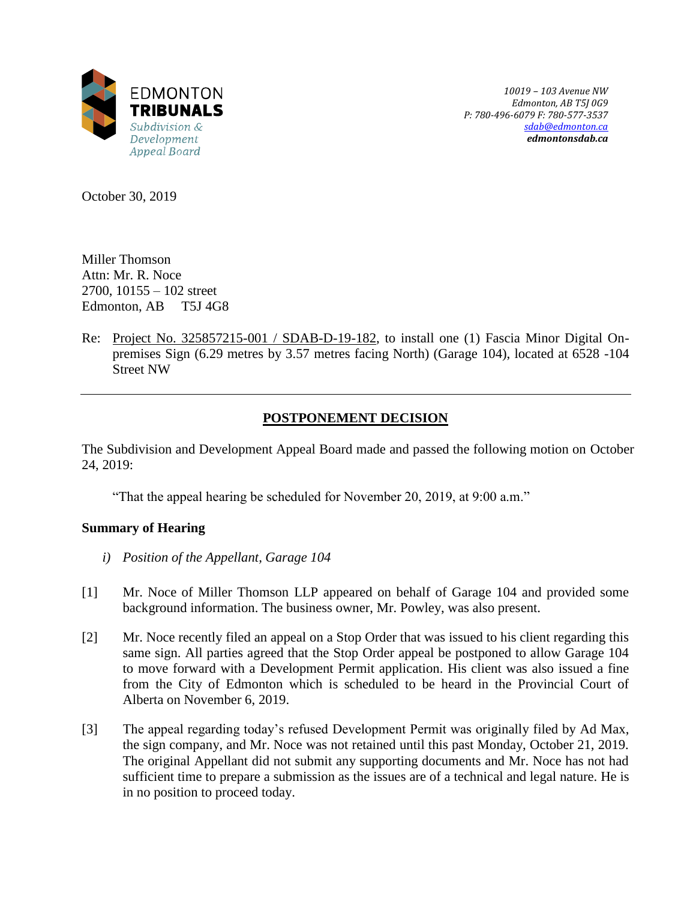

*10019 – 103 Avenue NW Edmonton, AB T5J 0G9 P: 780-496-6079 F: 780-577-3537 [sdab@edmonton.ca](mailto:sdab@edmonton.ca) edmontonsdab.ca*

October 30, 2019

Miller Thomson Attn: Mr. R. Noce 2700, 10155 – 102 street Edmonton, AB T5J 4G8

Re: Project No. 325857215-001 / SDAB-D-19-182, to install one (1) Fascia Minor Digital Onpremises Sign (6.29 metres by 3.57 metres facing North) (Garage 104), located at 6528 -104 Street NW

# **POSTPONEMENT DECISION**

The Subdivision and Development Appeal Board made and passed the following motion on October 24, 2019:

"That the appeal hearing be scheduled for November 20, 2019, at 9:00 a.m."

# **Summary of Hearing**

- *i) Position of the Appellant, Garage 104*
- [1] Mr. Noce of Miller Thomson LLP appeared on behalf of Garage 104 and provided some background information. The business owner, Mr. Powley, was also present.
- [2] Mr. Noce recently filed an appeal on a Stop Order that was issued to his client regarding this same sign. All parties agreed that the Stop Order appeal be postponed to allow Garage 104 to move forward with a Development Permit application. His client was also issued a fine from the City of Edmonton which is scheduled to be heard in the Provincial Court of Alberta on November 6, 2019.
- [3] The appeal regarding today's refused Development Permit was originally filed by Ad Max, the sign company, and Mr. Noce was not retained until this past Monday, October 21, 2019. The original Appellant did not submit any supporting documents and Mr. Noce has not had sufficient time to prepare a submission as the issues are of a technical and legal nature. He is in no position to proceed today.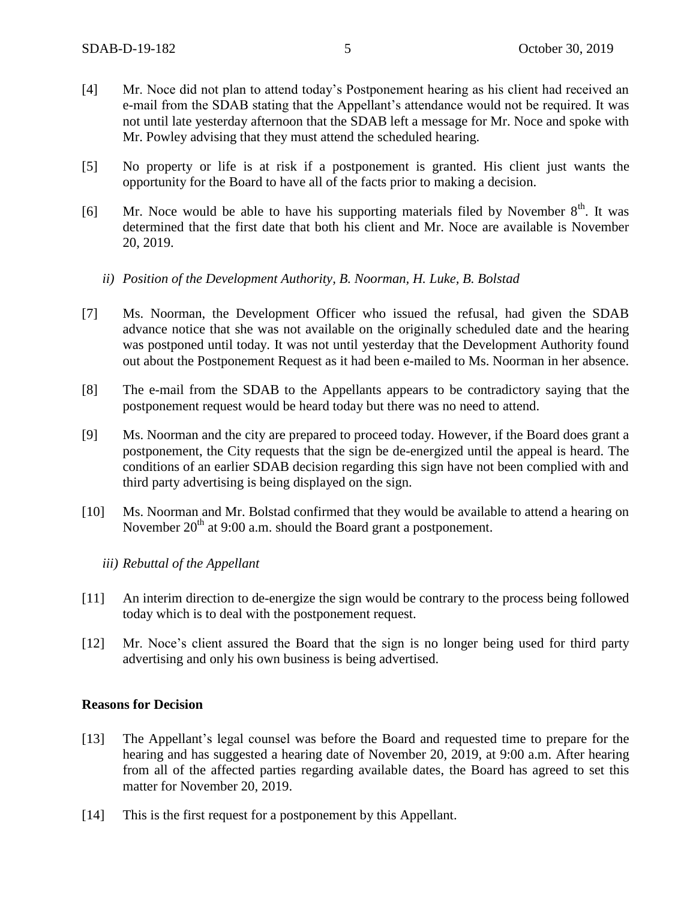- [4] Mr. Noce did not plan to attend today's Postponement hearing as his client had received an e-mail from the SDAB stating that the Appellant's attendance would not be required. It was not until late yesterday afternoon that the SDAB left a message for Mr. Noce and spoke with Mr. Powley advising that they must attend the scheduled hearing.
- [5] No property or life is at risk if a postponement is granted. His client just wants the opportunity for the Board to have all of the facts prior to making a decision.
- [6] Mr. Noce would be able to have his supporting materials filed by November  $8<sup>th</sup>$ . It was determined that the first date that both his client and Mr. Noce are available is November 20, 2019.
	- *ii) Position of the Development Authority, B. Noorman, H. Luke, B. Bolstad*
- [7] Ms. Noorman, the Development Officer who issued the refusal, had given the SDAB advance notice that she was not available on the originally scheduled date and the hearing was postponed until today. It was not until yesterday that the Development Authority found out about the Postponement Request as it had been e-mailed to Ms. Noorman in her absence.
- [8] The e-mail from the SDAB to the Appellants appears to be contradictory saying that the postponement request would be heard today but there was no need to attend.
- [9] Ms. Noorman and the city are prepared to proceed today. However, if the Board does grant a postponement, the City requests that the sign be de-energized until the appeal is heard. The conditions of an earlier SDAB decision regarding this sign have not been complied with and third party advertising is being displayed on the sign.
- [10] Ms. Noorman and Mr. Bolstad confirmed that they would be available to attend a hearing on November  $20<sup>th</sup>$  at 9:00 a.m. should the Board grant a postponement.
	- *iii) Rebuttal of the Appellant*
- [11] An interim direction to de-energize the sign would be contrary to the process being followed today which is to deal with the postponement request.
- [12] Mr. Noce's client assured the Board that the sign is no longer being used for third party advertising and only his own business is being advertised.

#### **Reasons for Decision**

- [13] The Appellant's legal counsel was before the Board and requested time to prepare for the hearing and has suggested a hearing date of November 20, 2019, at 9:00 a.m. After hearing from all of the affected parties regarding available dates, the Board has agreed to set this matter for November 20, 2019.
- [14] This is the first request for a postponement by this Appellant.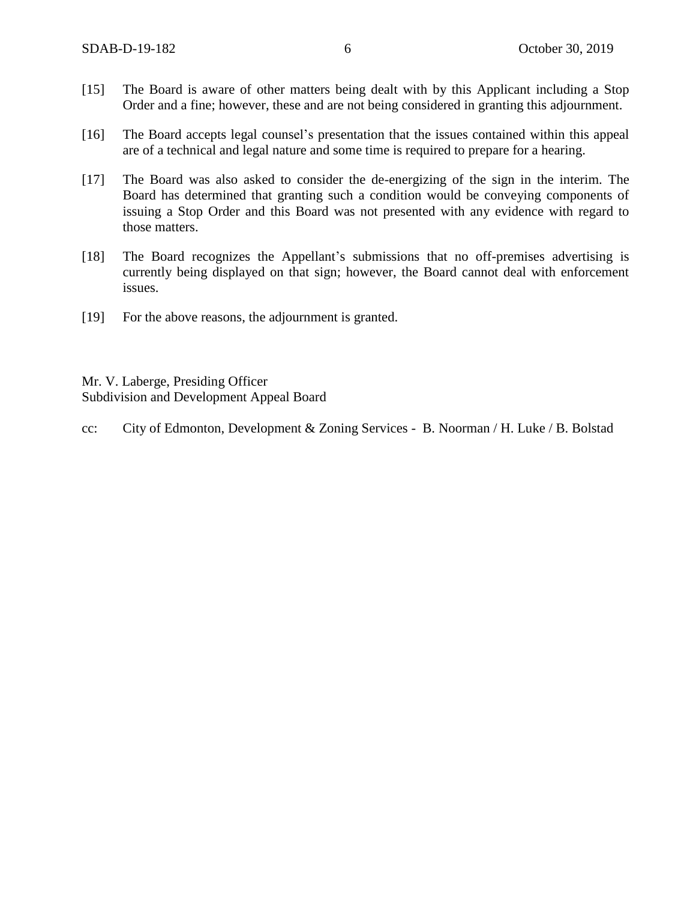- [15] The Board is aware of other matters being dealt with by this Applicant including a Stop Order and a fine; however, these and are not being considered in granting this adjournment.
- [16] The Board accepts legal counsel's presentation that the issues contained within this appeal are of a technical and legal nature and some time is required to prepare for a hearing.
- [17] The Board was also asked to consider the de-energizing of the sign in the interim. The Board has determined that granting such a condition would be conveying components of issuing a Stop Order and this Board was not presented with any evidence with regard to those matters.
- [18] The Board recognizes the Appellant's submissions that no off-premises advertising is currently being displayed on that sign; however, the Board cannot deal with enforcement issues.
- [19] For the above reasons, the adjournment is granted.

Mr. V. Laberge, Presiding Officer Subdivision and Development Appeal Board

cc: City of Edmonton, Development & Zoning Services - B. Noorman / H. Luke / B. Bolstad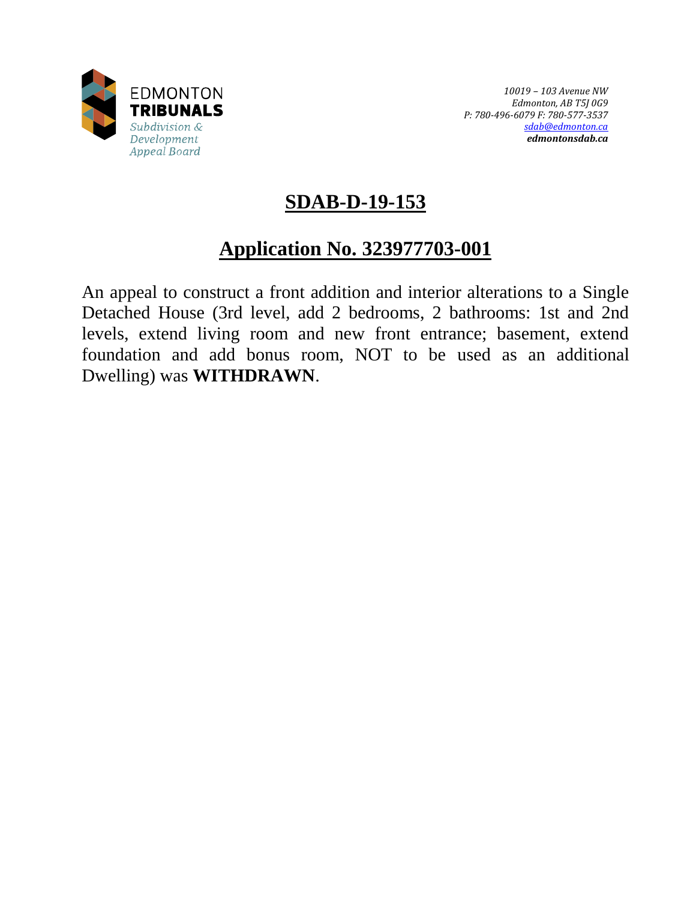

# **SDAB-D-19-153**

# **Application No. 323977703-001**

An appeal to construct a front addition and interior alterations to a Single Detached House (3rd level, add 2 bedrooms, 2 bathrooms: 1st and 2nd levels, extend living room and new front entrance; basement, extend foundation and add bonus room, NOT to be used as an additional Dwelling) was **WITHDRAWN**.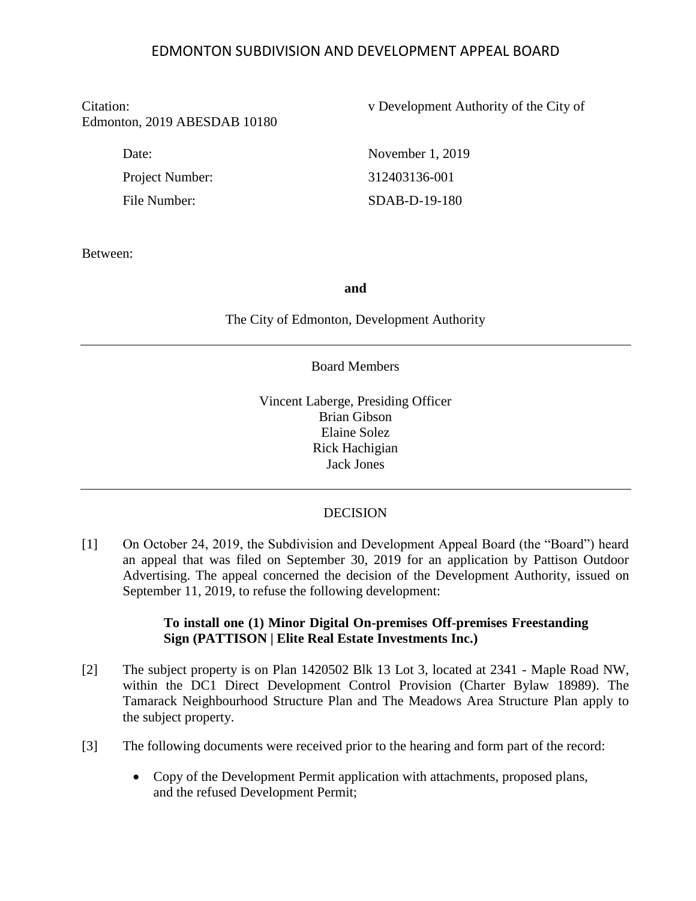# EDMONTON SUBDIVISION AND DEVELOPMENT APPEAL BOARD

# Edmonton, 2019 ABESDAB 10180

Project Number: 312403136-001

Citation: v Development Authority of the City of

Date: November 1, 2019 File Number: SDAB-D-19-180

Between:

#### **and**

The City of Edmonton, Development Authority

#### Board Members

Vincent Laberge, Presiding Officer Brian Gibson Elaine Solez Rick Hachigian Jack Jones

#### DECISION

[1] On October 24, 2019, the Subdivision and Development Appeal Board (the "Board") heard an appeal that was filed on September 30, 2019 for an application by Pattison Outdoor Advertising. The appeal concerned the decision of the Development Authority, issued on September 11, 2019, to refuse the following development:

# **To install one (1) Minor Digital On-premises Off-premises Freestanding Sign (PATTISON | Elite Real Estate Investments Inc.)**

- [2] The subject property is on Plan 1420502 Blk 13 Lot 3, located at 2341 Maple Road NW, within the DC1 Direct Development Control Provision (Charter Bylaw 18989). The Tamarack Neighbourhood Structure Plan and The Meadows Area Structure Plan apply to the subject property.
- [3] The following documents were received prior to the hearing and form part of the record:
	- Copy of the Development Permit application with attachments, proposed plans, and the refused Development Permit;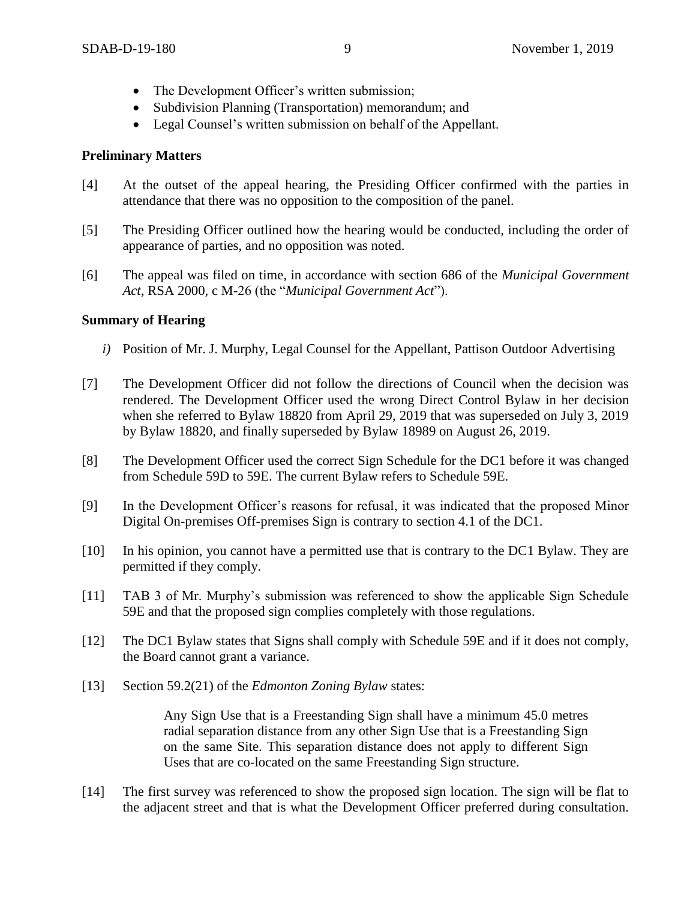- The Development Officer's written submission;
- Subdivision Planning (Transportation) memorandum; and
- Legal Counsel's written submission on behalf of the Appellant.

# **Preliminary Matters**

- [4] At the outset of the appeal hearing, the Presiding Officer confirmed with the parties in attendance that there was no opposition to the composition of the panel.
- [5] The Presiding Officer outlined how the hearing would be conducted, including the order of appearance of parties, and no opposition was noted.
- [6] The appeal was filed on time, in accordance with section 686 of the *Municipal Government Act*, RSA 2000, c M-26 (the "*Municipal Government Act*").

# **Summary of Hearing**

- *i)* Position of Mr. J. Murphy, Legal Counsel for the Appellant, Pattison Outdoor Advertising
- [7] The Development Officer did not follow the directions of Council when the decision was rendered. The Development Officer used the wrong Direct Control Bylaw in her decision when she referred to Bylaw 18820 from April 29, 2019 that was superseded on July 3, 2019 by Bylaw 18820, and finally superseded by Bylaw 18989 on August 26, 2019.
- [8] The Development Officer used the correct Sign Schedule for the DC1 before it was changed from Schedule 59D to 59E. The current Bylaw refers to Schedule 59E.
- [9] In the Development Officer's reasons for refusal, it was indicated that the proposed Minor Digital On-premises Off-premises Sign is contrary to section 4.1 of the DC1.
- [10] In his opinion, you cannot have a permitted use that is contrary to the DC1 Bylaw. They are permitted if they comply.
- [11] TAB 3 of Mr. Murphy's submission was referenced to show the applicable Sign Schedule 59E and that the proposed sign complies completely with those regulations.
- [12] The DC1 Bylaw states that Signs shall comply with Schedule 59E and if it does not comply, the Board cannot grant a variance.
- [13] Section 59.2(21) of the *Edmonton Zoning Bylaw* states:

Any Sign Use that is a Freestanding Sign shall have a minimum 45.0 metres radial separation distance from any other Sign Use that is a Freestanding Sign on the same Site. This separation distance does not apply to different Sign Uses that are co-located on the same Freestanding Sign structure.

[14] The first survey was referenced to show the proposed sign location. The sign will be flat to the adjacent street and that is what the Development Officer preferred during consultation.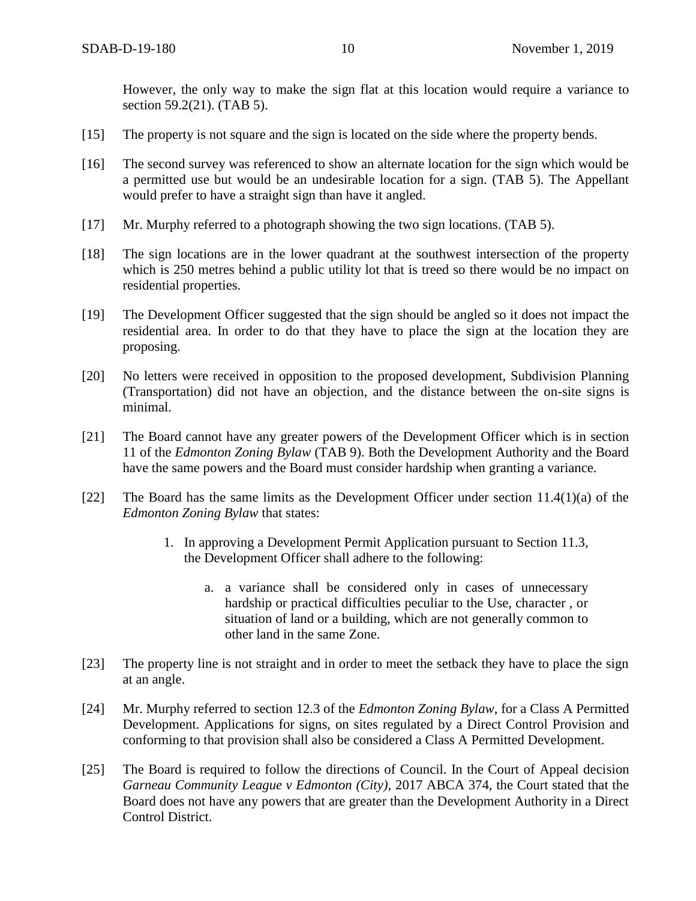However, the only way to make the sign flat at this location would require a variance to section 59.2(21). (TAB 5).

- [15] The property is not square and the sign is located on the side where the property bends.
- [16] The second survey was referenced to show an alternate location for the sign which would be a permitted use but would be an undesirable location for a sign. (TAB 5). The Appellant would prefer to have a straight sign than have it angled.
- [17] Mr. Murphy referred to a photograph showing the two sign locations. (TAB 5).
- [18] The sign locations are in the lower quadrant at the southwest intersection of the property which is 250 metres behind a public utility lot that is treed so there would be no impact on residential properties.
- [19] The Development Officer suggested that the sign should be angled so it does not impact the residential area. In order to do that they have to place the sign at the location they are proposing.
- [20] No letters were received in opposition to the proposed development, Subdivision Planning (Transportation) did not have an objection, and the distance between the on-site signs is minimal.
- [21] The Board cannot have any greater powers of the Development Officer which is in section 11 of the *Edmonton Zoning Bylaw* (TAB 9). Both the Development Authority and the Board have the same powers and the Board must consider hardship when granting a variance.
- [22] The Board has the same limits as the Development Officer under section 11.4(1)(a) of the *Edmonton Zoning Bylaw* that states:
	- 1. In approving a Development Permit Application pursuant to Section 11.3, the Development Officer shall adhere to the following:
		- a. a variance shall be considered only in cases of unnecessary hardship or practical difficulties peculiar to the Use, character , or situation of land or a building, which are not generally common to other land in the same Zone.
- [23] The property line is not straight and in order to meet the setback they have to place the sign at an angle.
- [24] Mr. Murphy referred to section 12.3 of the *Edmonton Zoning Bylaw*, for a Class A Permitted Development. Applications for signs, on sites regulated by a Direct Control Provision and conforming to that provision shall also be considered a Class A Permitted Development.
- [25] The Board is required to follow the directions of Council. In the Court of Appeal decision *Garneau Community League v Edmonton (City)*, 2017 ABCA 374, the Court stated that the Board does not have any powers that are greater than the Development Authority in a Direct Control District.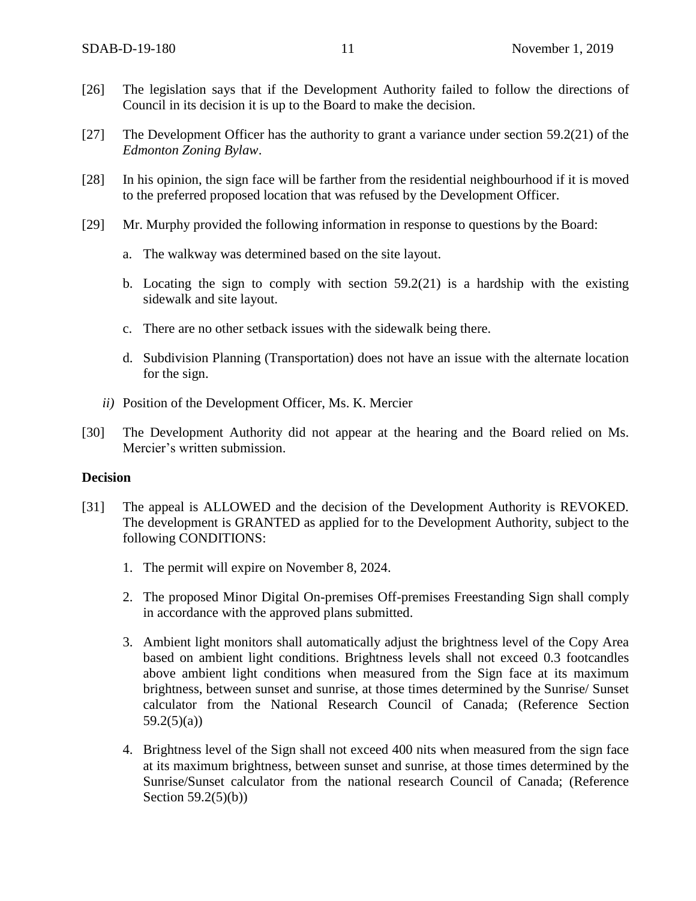- [26] The legislation says that if the Development Authority failed to follow the directions of Council in its decision it is up to the Board to make the decision.
- [27] The Development Officer has the authority to grant a variance under section 59.2(21) of the *Edmonton Zoning Bylaw*.
- [28] In his opinion, the sign face will be farther from the residential neighbourhood if it is moved to the preferred proposed location that was refused by the Development Officer.
- [29] Mr. Murphy provided the following information in response to questions by the Board:
	- a. The walkway was determined based on the site layout.
	- b. Locating the sign to comply with section 59.2(21) is a hardship with the existing sidewalk and site layout.
	- c. There are no other setback issues with the sidewalk being there.
	- d. Subdivision Planning (Transportation) does not have an issue with the alternate location for the sign.
	- *ii)* Position of the Development Officer, Ms. K. Mercier
- [30] The Development Authority did not appear at the hearing and the Board relied on Ms. Mercier's written submission.

#### **Decision**

- [31] The appeal is ALLOWED and the decision of the Development Authority is REVOKED. The development is GRANTED as applied for to the Development Authority, subject to the following CONDITIONS:
	- 1. The permit will expire on November 8, 2024.
	- 2. The proposed Minor Digital On-premises Off-premises Freestanding Sign shall comply in accordance with the approved plans submitted.
	- 3. Ambient light monitors shall automatically adjust the brightness level of the Copy Area based on ambient light conditions. Brightness levels shall not exceed 0.3 footcandles above ambient light conditions when measured from the Sign face at its maximum brightness, between sunset and sunrise, at those times determined by the Sunrise/ Sunset calculator from the National Research Council of Canada; (Reference Section  $59.2(5)(a)$
	- 4. Brightness level of the Sign shall not exceed 400 nits when measured from the sign face at its maximum brightness, between sunset and sunrise, at those times determined by the Sunrise/Sunset calculator from the national research Council of Canada; (Reference Section 59.2(5)(b))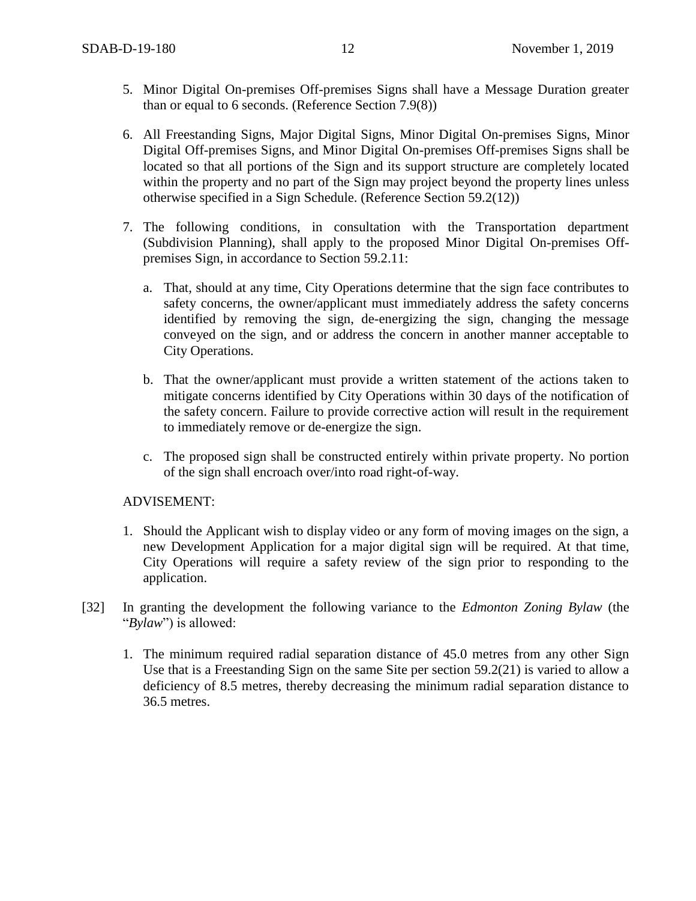- 5. Minor Digital On-premises Off-premises Signs shall have a Message Duration greater than or equal to 6 seconds. (Reference Section 7.9(8))
- 6. All Freestanding Signs, Major Digital Signs, Minor Digital On-premises Signs, Minor Digital Off-premises Signs, and Minor Digital On-premises Off-premises Signs shall be located so that all portions of the Sign and its support structure are completely located within the property and no part of the Sign may project beyond the property lines unless otherwise specified in a Sign Schedule. (Reference Section 59.2(12))
- 7. The following conditions, in consultation with the Transportation department (Subdivision Planning), shall apply to the proposed Minor Digital On-premises Offpremises Sign, in accordance to Section 59.2.11:
	- a. That, should at any time, City Operations determine that the sign face contributes to safety concerns, the owner/applicant must immediately address the safety concerns identified by removing the sign, de-energizing the sign, changing the message conveyed on the sign, and or address the concern in another manner acceptable to City Operations.
	- b. That the owner/applicant must provide a written statement of the actions taken to mitigate concerns identified by City Operations within 30 days of the notification of the safety concern. Failure to provide corrective action will result in the requirement to immediately remove or de-energize the sign.
	- c. The proposed sign shall be constructed entirely within private property. No portion of the sign shall encroach over/into road right-of-way.

#### ADVISEMENT:

- 1. Should the Applicant wish to display video or any form of moving images on the sign, a new Development Application for a major digital sign will be required. At that time, City Operations will require a safety review of the sign prior to responding to the application.
- [32] In granting the development the following variance to the *Edmonton Zoning Bylaw* (the "*Bylaw*") is allowed:
	- 1. The minimum required radial separation distance of 45.0 metres from any other Sign Use that is a Freestanding Sign on the same Site per section 59.2(21) is varied to allow a deficiency of 8.5 metres, thereby decreasing the minimum radial separation distance to 36.5 metres.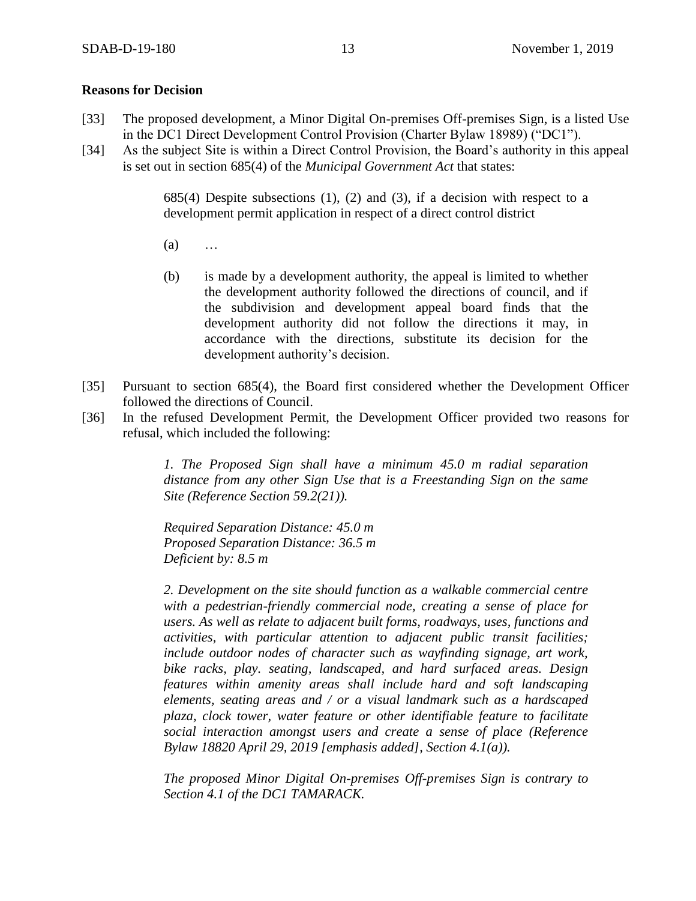#### **Reasons for Decision**

- [33] The proposed development, a Minor Digital On-premises Off-premises Sign, is a listed Use in the DC1 Direct Development Control Provision (Charter Bylaw 18989) ("DC1").
- [34] As the subject Site is within a Direct Control Provision, the Board's authority in this appeal is set out in section 685(4) of the *Municipal Government Act* that states:

685(4) Despite subsections (1), (2) and (3), if a decision with respect to a development permit application in respect of a direct control district

- (a) …
- (b) is made by a development authority, the appeal is limited to whether the development authority followed the directions of council, and if the subdivision and development appeal board finds that the development authority did not follow the directions it may, in accordance with the directions, substitute its decision for the development authority's decision.
- [35] Pursuant to section 685(4), the Board first considered whether the Development Officer followed the directions of Council.
- [36] In the refused Development Permit, the Development Officer provided two reasons for refusal, which included the following:

*1. The Proposed Sign shall have a minimum 45.0 m radial separation distance from any other Sign Use that is a Freestanding Sign on the same Site (Reference Section 59.2(21)).* 

*Required Separation Distance: 45.0 m Proposed Separation Distance: 36.5 m Deficient by: 8.5 m*

*2. Development on the site should function as a walkable commercial centre with a pedestrian-friendly commercial node, creating a sense of place for users. As well as relate to adjacent built forms, roadways, uses, functions and activities, with particular attention to adjacent public transit facilities; include outdoor nodes of character such as wayfinding signage, art work, bike racks, play. seating, landscaped, and hard surfaced areas. Design features within amenity areas shall include hard and soft landscaping elements, seating areas and / or a visual landmark such as a hardscaped plaza, clock tower, water feature or other identifiable feature to facilitate social interaction amongst users and create a sense of place (Reference Bylaw 18820 April 29, 2019 [emphasis added], Section 4.1(a)).*

*The proposed Minor Digital On-premises Off-premises Sign is contrary to Section 4.1 of the DC1 TAMARACK.*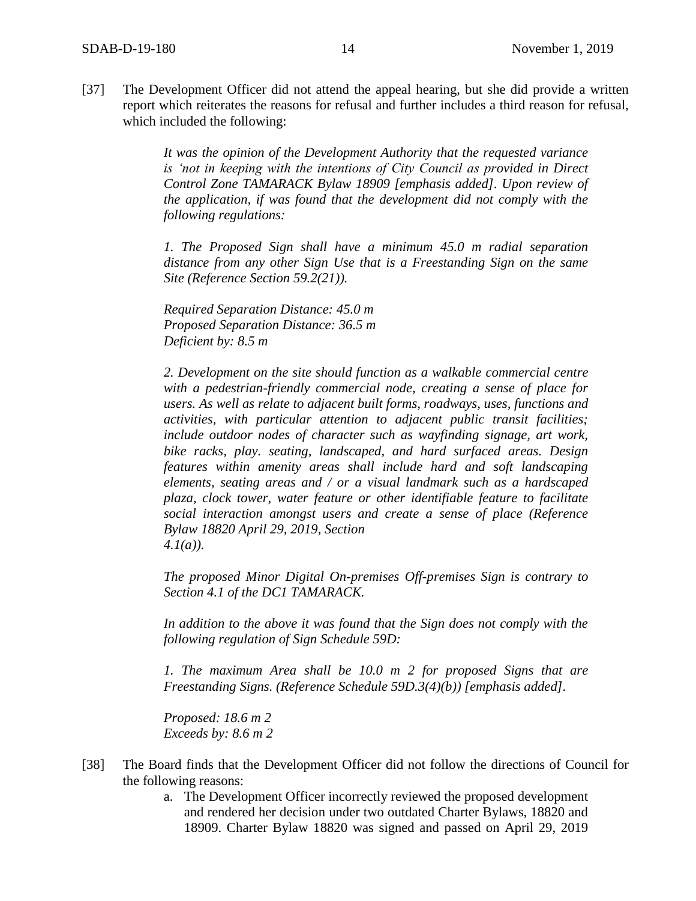[37] The Development Officer did not attend the appeal hearing, but she did provide a written report which reiterates the reasons for refusal and further includes a third reason for refusal, which included the following:

> *It was the opinion of the Development Authority that the requested variance is 'not in keeping with the intentions of City Council as provided in Direct Control Zone TAMARACK Bylaw 18909 [emphasis added]. Upon review of the application, if was found that the development did not comply with the following regulations:*

> *1. The Proposed Sign shall have a minimum 45.0 m radial separation distance from any other Sign Use that is a Freestanding Sign on the same Site (Reference Section 59.2(21)).*

*Required Separation Distance: 45.0 m Proposed Separation Distance: 36.5 m Deficient by: 8.5 m*

*2. Development on the site should function as a walkable commercial centre with a pedestrian-friendly commercial node, creating a sense of place for users. As well as relate to adjacent built forms, roadways, uses, functions and activities, with particular attention to adjacent public transit facilities; include outdoor nodes of character such as wayfinding signage, art work, bike racks, play. seating, landscaped, and hard surfaced areas. Design features within amenity areas shall include hard and soft landscaping elements, seating areas and / or a visual landmark such as a hardscaped plaza, clock tower, water feature or other identifiable feature to facilitate social interaction amongst users and create a sense of place (Reference Bylaw 18820 April 29, 2019, Section 4.1(a)).*

*The proposed Minor Digital On-premises Off-premises Sign is contrary to Section 4.1 of the DC1 TAMARACK.*

*In addition to the above it was found that the Sign does not comply with the following regulation of Sign Schedule 59D:*

*1. The maximum Area shall be 10.0 m 2 for proposed Signs that are Freestanding Signs. (Reference Schedule 59D.3(4)(b)) [emphasis added].*

*Proposed: 18.6 m 2 Exceeds by: 8.6 m 2*

- [38] The Board finds that the Development Officer did not follow the directions of Council for the following reasons:
	- a. The Development Officer incorrectly reviewed the proposed development and rendered her decision under two outdated Charter Bylaws, 18820 and 18909. Charter Bylaw 18820 was signed and passed on April 29, 2019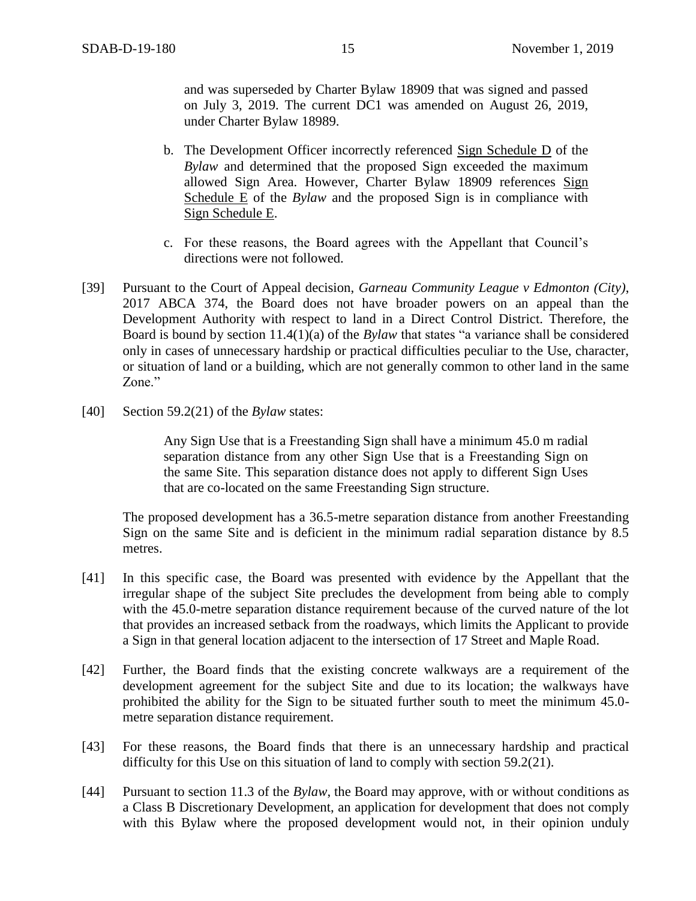and was superseded by Charter Bylaw 18909 that was signed and passed on July 3, 2019. The current DC1 was amended on August 26, 2019, under Charter Bylaw 18989.

- b. The Development Officer incorrectly referenced Sign Schedule D of the *Bylaw* and determined that the proposed Sign exceeded the maximum allowed Sign Area. However, Charter Bylaw 18909 references Sign Schedule E of the *Bylaw* and the proposed Sign is in compliance with Sign Schedule E.
- c. For these reasons, the Board agrees with the Appellant that Council's directions were not followed.
- [39] Pursuant to the Court of Appeal decision, *Garneau Community League v Edmonton (City)*, 2017 ABCA 374, the Board does not have broader powers on an appeal than the Development Authority with respect to land in a Direct Control District. Therefore, the Board is bound by section 11.4(1)(a) of the *Bylaw* that states "a variance shall be considered only in cases of unnecessary hardship or practical difficulties peculiar to the Use, character, or situation of land or a building, which are not generally common to other land in the same Zone."
- [40] Section 59.2(21) of the *Bylaw* states:

Any Sign Use that is a Freestanding Sign shall have a minimum 45.0 m radial separation distance from any other Sign Use that is a Freestanding Sign on the same Site. This separation distance does not apply to different Sign Uses that are co-located on the same Freestanding Sign structure.

The proposed development has a 36.5-metre separation distance from another Freestanding Sign on the same Site and is deficient in the minimum radial separation distance by 8.5 metres.

- [41] In this specific case, the Board was presented with evidence by the Appellant that the irregular shape of the subject Site precludes the development from being able to comply with the 45.0-metre separation distance requirement because of the curved nature of the lot that provides an increased setback from the roadways, which limits the Applicant to provide a Sign in that general location adjacent to the intersection of 17 Street and Maple Road.
- [42] Further, the Board finds that the existing concrete walkways are a requirement of the development agreement for the subject Site and due to its location; the walkways have prohibited the ability for the Sign to be situated further south to meet the minimum 45.0 metre separation distance requirement.
- [43] For these reasons, the Board finds that there is an unnecessary hardship and practical difficulty for this Use on this situation of land to comply with section 59.2(21).
- [44] Pursuant to section 11.3 of the *Bylaw*, the Board may approve, with or without conditions as a Class B Discretionary Development, an application for development that does not comply with this Bylaw where the proposed development would not, in their opinion unduly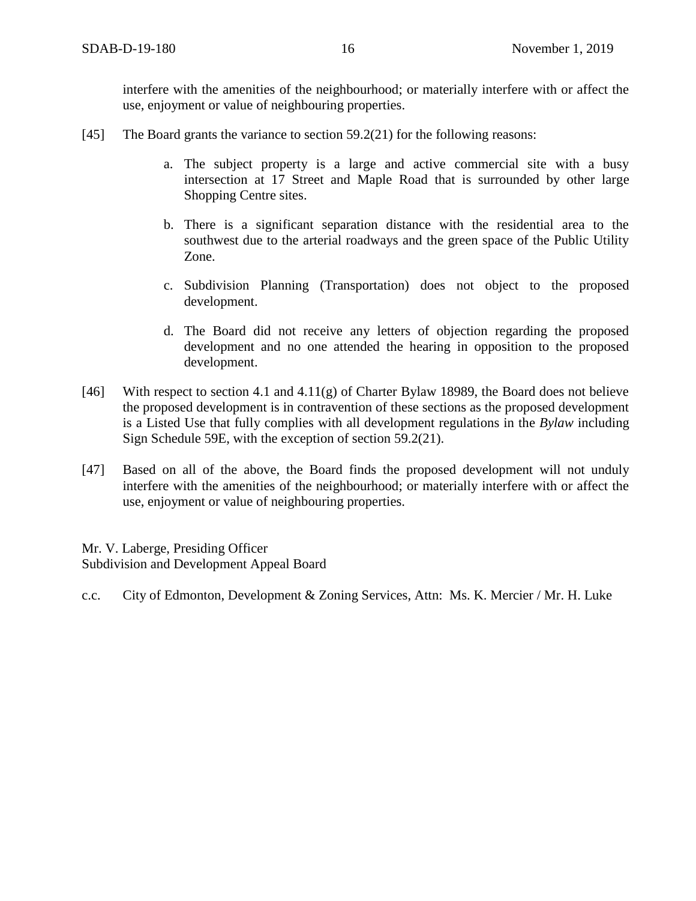interfere with the amenities of the neighbourhood; or materially interfere with or affect the use, enjoyment or value of neighbouring properties.

- [45] The Board grants the variance to section 59.2(21) for the following reasons:
	- a. The subject property is a large and active commercial site with a busy intersection at 17 Street and Maple Road that is surrounded by other large Shopping Centre sites.
	- b. There is a significant separation distance with the residential area to the southwest due to the arterial roadways and the green space of the Public Utility Zone.
	- c. Subdivision Planning (Transportation) does not object to the proposed development.
	- d. The Board did not receive any letters of objection regarding the proposed development and no one attended the hearing in opposition to the proposed development.
- [46] With respect to section 4.1 and 4.11(g) of Charter Bylaw 18989, the Board does not believe the proposed development is in contravention of these sections as the proposed development is a Listed Use that fully complies with all development regulations in the *Bylaw* including Sign Schedule 59E, with the exception of section 59.2(21).
- [47] Based on all of the above, the Board finds the proposed development will not unduly interfere with the amenities of the neighbourhood; or materially interfere with or affect the use, enjoyment or value of neighbouring properties.

Mr. V. Laberge, Presiding Officer Subdivision and Development Appeal Board

c.c. City of Edmonton, Development & Zoning Services, Attn: Ms. K. Mercier / Mr. H. Luke